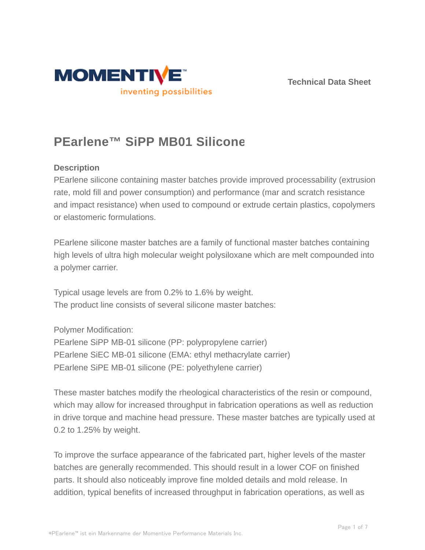



# **PEarlene™ SiPP MB01 Silicone**

## **Description**

PEarlene silicone containing master batches provide improved processability (extrusion rate, mold fill and power consumption) and performance (mar and scratch resistance and impact resistance) when used to compound or extrude certain plastics, copolymers or elastomeric formulations.

PEarlene silicone master batches are a family of functional master batches containing high levels of ultra high molecular weight polysiloxane which are melt compounded into a polymer carrier.

Typical usage levels are from 0.2% to 1.6% by weight. The product line consists of several silicone master batches:

Polymer Modification:

PEarlene SiPP MB-01 silicone (PP: polypropylene carrier) PEarlene SiEC MB-01 silicone (EMA: ethyl methacrylate carrier) PEarlene SiPE MB-01 silicone (PE: polyethylene carrier)

These master batches modify the rheological characteristics of the resin or compound, which may allow for increased throughput in fabrication operations as well as reduction in drive torque and machine head pressure. These master batches are typically used at 0.2 to 1.25% by weight.

To improve the surface appearance of the fabricated part, higher levels of the master batches are generally recommended. This should result in a lower COF on finished parts. It should also noticeably improve fine molded details and mold release. In addition, typical benefits of increased throughput in fabrication operations, as well as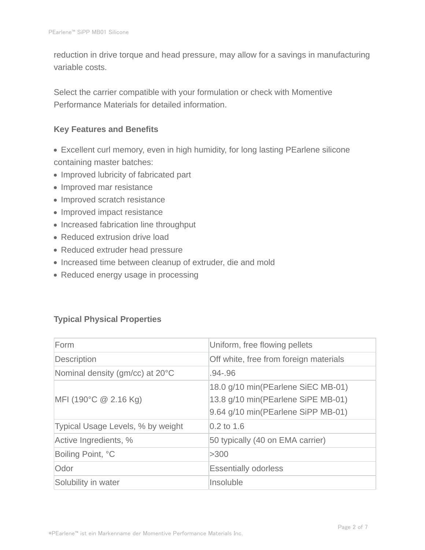reduction in drive torque and head pressure, may allow for a savings in manufacturing variable costs.

Select the carrier compatible with your formulation or check with Momentive Performance Materials for detailed information.

## **Key Features and Benefits**

- Excellent curl memory, even in high humidity, for long lasting PEarlene silicone containing master batches:
- Improved lubricity of fabricated part
- Improved mar resistance
- Improved scratch resistance
- Improved impact resistance
- Increased fabrication line throughput
- Reduced extrusion drive load
- Reduced extruder head pressure
- Increased time between cleanup of extruder, die and mold
- Reduced energy usage in processing

## **Typical Physical Properties**

| Form                              | Uniform, free flowing pellets                                                                                  |  |  |
|-----------------------------------|----------------------------------------------------------------------------------------------------------------|--|--|
| Description                       | Off white, free from foreign materials                                                                         |  |  |
| Nominal density (gm/cc) at 20°C   | .94-.96                                                                                                        |  |  |
| MFI (190°C @ 2.16 Kg)             | 18.0 g/10 min(PEarlene SiEC MB-01)<br>13.8 g/10 min(PEarlene SiPE MB-01)<br>9.64 g/10 min(PEarlene SiPP MB-01) |  |  |
| Typical Usage Levels, % by weight | $0.2$ to 1.6                                                                                                   |  |  |
| Active Ingredients, %             | 50 typically (40 on EMA carrier)                                                                               |  |  |
| Boiling Point, °C                 | >300                                                                                                           |  |  |
| Odor                              | <b>Essentially odorless</b>                                                                                    |  |  |
| Solubility in water               | Insoluble                                                                                                      |  |  |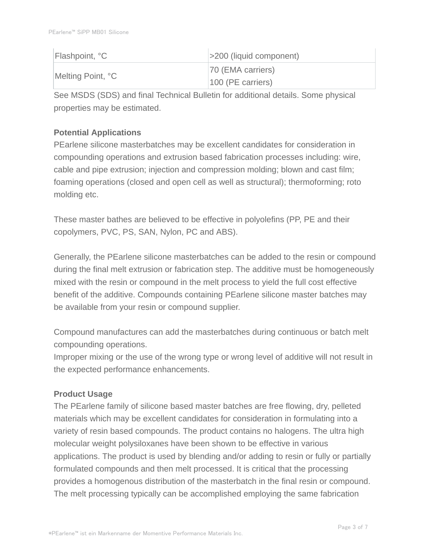| Flashpoint, °C    | $ $ >200 (liquid component) |
|-------------------|-----------------------------|
| Melting Point, °C | 70 (EMA carriers)           |
|                   | $100$ (PE carriers)         |

See MSDS (SDS) and final Technical Bulletin for additional details. Some physical properties may be estimated.

# **Potential Applications**

PEarlene silicone masterbatches may be excellent candidates for consideration in compounding operations and extrusion based fabrication processes including: wire, cable and pipe extrusion; injection and compression molding; blown and cast film; foaming operations (closed and open cell as well as structural); thermoforming; roto molding etc.

These master bathes are believed to be effective in polyolefins (PP, PE and their copolymers, PVC, PS, SAN, Nylon, PC and ABS).

Generally, the PEarlene silicone masterbatches can be added to the resin or compound during the final melt extrusion or fabrication step. The additive must be homogeneously mixed with the resin or compound in the melt process to yield the full cost effective benefit of the additive. Compounds containing PEarlene silicone master batches may be available from your resin or compound supplier.

Compound manufactures can add the masterbatches during continuous or batch melt compounding operations.

Improper mixing or the use of the wrong type or wrong level of additive will not result in the expected performance enhancements.

## **Product Usage**

The PEarlene family of silicone based master batches are free flowing, dry, pelleted materials which may be excellent candidates for consideration in formulating into a variety of resin based compounds. The product contains no halogens. The ultra high molecular weight polysiloxanes have been shown to be effective in various applications. The product is used by blending and/or adding to resin or fully or partially formulated compounds and then melt processed. It is critical that the processing provides a homogenous distribution of the masterbatch in the final resin or compound. The melt processing typically can be accomplished employing the same fabrication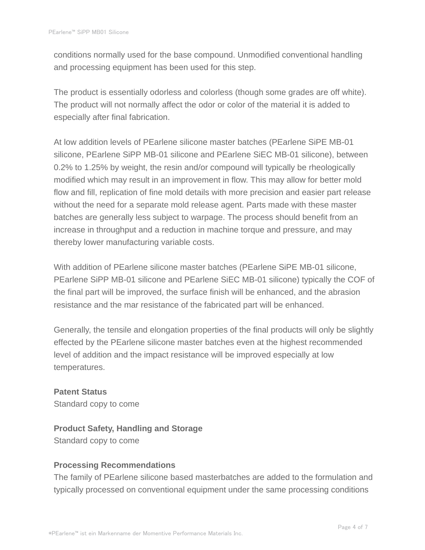conditions normally used for the base compound. Unmodified conventional handling and processing equipment has been used for this step.

The product is essentially odorless and colorless (though some grades are off white). The product will not normally affect the odor or color of the material it is added to especially after final fabrication.

At low addition levels of PEarlene silicone master batches (PEarlene SiPE MB-01 silicone, PEarlene SiPP MB-01 silicone and PEarlene SiEC MB-01 silicone), between 0.2% to 1.25% by weight, the resin and/or compound will typically be rheologically modified which may result in an improvement in flow. This may allow for better mold flow and fill, replication of fine mold details with more precision and easier part release without the need for a separate mold release agent. Parts made with these master batches are generally less subject to warpage. The process should benefit from an increase in throughput and a reduction in machine torque and pressure, and may thereby lower manufacturing variable costs.

With addition of PEarlene silicone master batches (PEarlene SiPE MB-01 silicone, PEarlene SiPP MB-01 silicone and PEarlene SiEC MB-01 silicone) typically the COF of the final part will be improved, the surface finish will be enhanced, and the abrasion resistance and the mar resistance of the fabricated part will be enhanced.

Generally, the tensile and elongation properties of the final products will only be slightly effected by the PEarlene silicone master batches even at the highest recommended level of addition and the impact resistance will be improved especially at low temperatures.

**Patent Status** Standard copy to come

**Product Safety, Handling and Storage** Standard copy to come

# **Processing Recommendations**

The family of PEarlene silicone based masterbatches are added to the formulation and typically processed on conventional equipment under the same processing conditions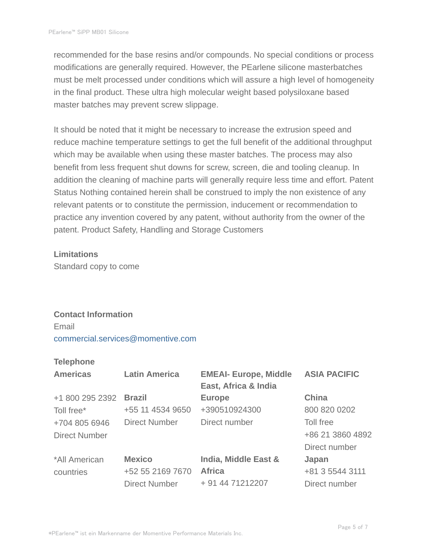recommended for the base resins and/or compounds. No special conditions or process modifications are generally required. However, the PEarlene silicone masterbatches must be melt processed under conditions which will assure a high level of homogeneity in the final product. These ultra high molecular weight based polysiloxane based master batches may prevent screw slippage.

It should be noted that it might be necessary to increase the extrusion speed and reduce machine temperature settings to get the full benefit of the additional throughput which may be available when using these master batches. The process may also benefit from less frequent shut downs for screw, screen, die and tooling cleanup. In addition the cleaning of machine parts will generally require less time and effort. Patent Status Nothing contained herein shall be construed to imply the non existence of any relevant patents or to constitute the permission, inducement or recommendation to practice any invention covered by any patent, without authority from the owner of the patent. Product Safety, Handling and Storage Customers

#### **Limitations**

Standard copy to come

## **Contact Information**

Email commercial.services@momentive.com

## **Telephone**

| <b>Americas</b>      | <b>Latin America</b> | <b>EMEAI- Europe, Middle</b><br>East, Africa & India | <b>ASIA PACIFIC</b> |
|----------------------|----------------------|------------------------------------------------------|---------------------|
| +1 800 295 2392      | <b>Brazil</b>        | <b>Europe</b>                                        | China               |
| Toll free*           | +55 11 4534 9650     | +390510924300                                        | 800 820 0202        |
| +704 805 6946        | <b>Direct Number</b> | Direct number                                        | Toll free           |
| <b>Direct Number</b> |                      |                                                      | +86 21 3860 4892    |
|                      |                      |                                                      | Direct number       |
| *All American        | <b>Mexico</b>        | India, Middle East &                                 | Japan               |
| countries            | +52 55 2169 7670     | <b>Africa</b>                                        | +81 3 5544 3111     |
|                      | <b>Direct Number</b> | + 91 44 71212207                                     | Direct number       |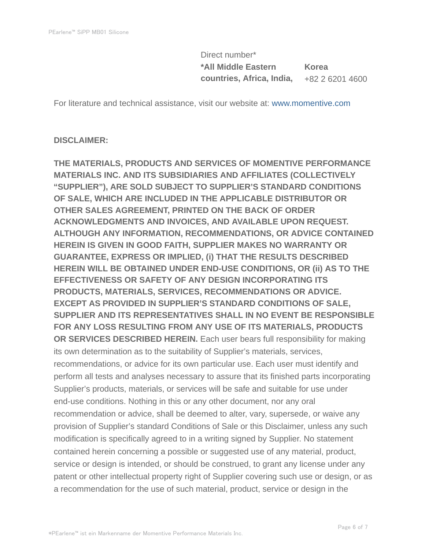Direct number\* **\*All Middle Eastern countries, Africa, India, Korea** +82 2 6201 4600

For literature and technical assistance, visit our website at: www.momentive.com

#### **DISCLAIMER:**

**THE MATERIALS, PRODUCTS AND SERVICES OF MOMENTIVE PERFORMANCE MATERIALS INC. AND ITS SUBSIDIARIES AND AFFILIATES (COLLECTIVELY "SUPPLIER"), ARE SOLD SUBJECT TO SUPPLIER'S STANDARD CONDITIONS OF SALE, WHICH ARE INCLUDED IN THE APPLICABLE DISTRIBUTOR OR OTHER SALES AGREEMENT, PRINTED ON THE BACK OF ORDER ACKNOWLEDGMENTS AND INVOICES, AND AVAILABLE UPON REQUEST. ALTHOUGH ANY INFORMATION, RECOMMENDATIONS, OR ADVICE CONTAINED HEREIN IS GIVEN IN GOOD FAITH, SUPPLIER MAKES NO WARRANTY OR GUARANTEE, EXPRESS OR IMPLIED, (i) THAT THE RESULTS DESCRIBED HEREIN WILL BE OBTAINED UNDER END-USE CONDITIONS, OR (ii) AS TO THE EFFECTIVENESS OR SAFETY OF ANY DESIGN INCORPORATING ITS PRODUCTS, MATERIALS, SERVICES, RECOMMENDATIONS OR ADVICE. EXCEPT AS PROVIDED IN SUPPLIER'S STANDARD CONDITIONS OF SALE, SUPPLIER AND ITS REPRESENTATIVES SHALL IN NO EVENT BE RESPONSIBLE FOR ANY LOSS RESULTING FROM ANY USE OF ITS MATERIALS, PRODUCTS OR SERVICES DESCRIBED HEREIN.** Each user bears full responsibility for making its own determination as to the suitability of Supplier's materials, services, recommendations, or advice for its own particular use. Each user must identify and perform all tests and analyses necessary to assure that its finished parts incorporating Supplier's products, materials, or services will be safe and suitable for use under end-use conditions. Nothing in this or any other document, nor any oral recommendation or advice, shall be deemed to alter, vary, supersede, or waive any provision of Supplier's standard Conditions of Sale or this Disclaimer, unless any such modification is specifically agreed to in a writing signed by Supplier. No statement contained herein concerning a possible or suggested use of any material, product, service or design is intended, or should be construed, to grant any license under any patent or other intellectual property right of Supplier covering such use or design, or as a recommendation for the use of such material, product, service or design in the